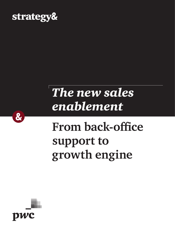

## *The new sales enablement*

# **From back-office support to growth engine**



 $\alpha$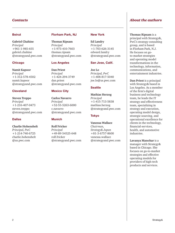### Beirut

**Gabriel Chahine** *Principal* +961-1-985-655 [gabriel.chahine](mailto:gabriel.chahine%40strategyand.pwc.com?subject=) [@strategyand.pwc.com](mailto:gabriel.chahine%40strategyand.pwc.com?subject=)

#### **Chicago**

**Namit Kapoor** *Principal* +1-312-578-4502 [namit.kapoor](mailto:namit.kapoor%40strategyand.pwc.com?subject=) [@strategyand.pwc.com](mailto:namit.kapoor%40strategyand.pwc.com?subject=)

#### **Cleveland**

**Steven Treppo** *Principal* +1-216-407-0473 [steven.treppo](mailto:steven.treppo%40strategyand.pwc.com?subject=) [@strategyand.pwc.com](mailto:steven.treppo%40strategyand.pwc.com?subject=)

#### Dallas

#### **Charlie Hohenshelt**  *Principal, PwC* +1-214-740-6725 [charlie.hohenshelt](mailto:charlie.hohenshelt%40us.pwc.com?subject=) [@us.pwc.com](mailto:charlie.hohenshelt%40us.pwc.com?subject=)

### Florham Park, NJ

**Thomas Ripsam** *Principal* +1-973-410-7603 [thomas.ripsam](mailto:thomas.ripsam%40strategyand.pwc.com?subject=) [@strategyand.pwc.com](mailto:thomas.ripsam%40strategyand.pwc.com?subject=)

### Los Angeles

**Dan Priest**  *Principal* +1-424-294-3749 [dan.priest](mailto:dan.priest%40strategyand.pwc.com?subject=) [@strategyand.pwc.com](mailto:dan.priest%40strategyand.pwc.com?subject=)

### Mexico City

**Carlos Navarro** *Principal*  $+52-55-5263-6000$ [c.navarro](mailto:c.navarro%40strategyand.pwc.com?subject=) [@strategyand.pwc.com](mailto:c.navarro%40strategyand.pwc.com?subject=)

#### Munich

**Rolf Fricker** *Principal* +49-89-54525-648 [rolf.fricker](mailto:rolf.fricker%40strategyand.pwc.com?subject=) [@strategyand.pwc.com](mailto:rolf.fricker%40strategyand.pwc.com?subject=)

#### New York

**Ed Landry** *Principal* +1-703-626-3145 [edward.landry](mailto:edward.landry%40strategyand.pwc.com?subject=) [@strategyand.pwc.com](mailto:edward.landry%40strategyand.pwc.com?subject=)

### San Jose, Calif.

**Joe Lo** *Principal, PwC* +1-408-817-5040 [joe.lo@us.pwc.com](mailto:joe.lo%40us.pwc.com?subject=)

### **Seattle**

**Mathias Herzog** *Principal* +1-415-713-5838 [mathias.herzog](mailto:mathias.herzog%40strategyand.pwc.com?subject=) [@strategyand.pwc.com](mailto:mathias.herzog%40strategyand.pwc.com?subject=)

### Tokyo

**Vanessa Wallace** *Chairman, Strategy& Japan* +81-3-6757-8600 [vanessa.wallace](mailto:vanessa.wallace%40strategyand.pwc.com?subject=) [@strategyand.pwc.com](mailto:vanessa.wallace%40strategyand.pwc.com?subject=)

### *Contacts About the authors*

**Thomas Ripsam** is a principal with Strategy&, PwC's strategy consulting group, and is based in Florham Park, N.J. He focuses on goto-market strategies and operating model transformations in the technology, information, communications, and entertainment industries.

**Dan Priest** is a principal with Strategy& based in Los Angeles. As a member of the firm's digital business and technology team, he leads the IT strategy and effectiveness team, specializing in strategy and execution, operating model design, strategic sourcing, and operational excellence for clients in the technology, financial-services, health, and automotive industries.

**Lavanya Manohar** is a manager with Strategy& based in Chicago. She focuses on go-to-market strategies and effective operating models for providers of high-tech products and services.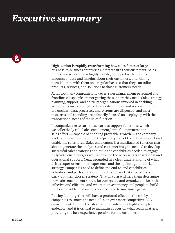### *Executive summary*

 $\boldsymbol{\alpha}$ 

**Digitization is rapidly transforming** how sales forces at large business-to-business enterprises interact with their customers. Sales representatives are now highly mobile, equipped with immense amounts of data and insights about their customers, and willing to collaborate with them on a regular basis so that they can tailor products, services, and solutions to those customers' needs.

At far too many companies, however, sales management personnel and frontline salespeople are not getting the support they need. Sales strategy, planning, support, and delivery organizations involved in enabling sales efforts are often highly decentralized; roles and responsibilities are unclear; data, processes, and systems are dispersed; and most resources and spending are primarily focused on keeping up with the transactional needs of the sales function.

If companies are to turn these various support functions, which we collectively call "sales enablement," into full partners in the sales effort — capable of enabling profitable growth — the company leadership must first redefine the primary role of those that support and enable the sales force. Sales enablement is a multifaceted function that should generate the analytics and customer insights needed to develop successful sales strategies and build the capabilities needed to engage fully with customers, as well as provide the necessary transactional and operational support. Next, grounded in a clear understanding of what drives superior customer experience and the optimal go-to-market strategy, companies need to define the end-to-end capabilities, activities, and performance required to deliver that experience and carry out their chosen strategy. That in turn will help them determine how sales enablement should be configured and organized to be both effective and efficient, and where to invest money and people to build the best possible customer experience and to maximize growth.

Putting it all together will have a profound effect on the ability of companies to "move the needle" in an ever more competitive B2B environment. But the transformation involved is a highly complex endeavor, and it is critical to maintain a focus on what really matters: providing the best experience possible for the customer.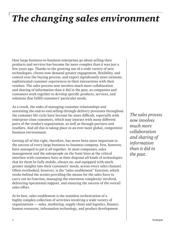### *The changing sales environment*

How large business-to-business enterprises go about selling their products and services has become far more complex than it was just a few years ago. Thanks to the growing use of a wide variety of new technologies, clients now demand greater engagement, flexibility, and control over the buying process, and expect significantly more intimate, sophisticated customer experiences in their interactions with their vendors. The sales process now involves much more collaboration and sharing of information than it did in the past, as companies and customers work together to develop specific products, services, and solutions that fulfill customers' particular needs.

As a result, the tasks of managing customer relationships and sustaining the end-to-end selling-through-delivery processes throughout the customer life cycle have become far more difficult, especially with enterprise-class customers, which may interact with many different parts of the vendor's organization, as well as through partners and resellers. And all this is taking place in an ever more global, competitive business environment.

Getting all of this right, therefore, has never been more important to the success of every large business-to-business company. Few, however, have managed to put it all together. At most companies, sales management and the salespeople on the front lines at the critical interface with customers have at their disposal all kinds of technologies that let them be fully mobile, always on, and equipped with much greater insights into their customers' needs, across every sales channel. Often overlooked, however, is the "sales enablement" function, which works behind the scenes providing the means for the sales force to carry out its function, managing the enormous complexity involved, delivering operational support, and ensuring the success of the overall sales effort.

At its best, sales enablement is the seamless orchestration of a highly complex collection of activities involving a wide variety of organizations — sales, marketing, supply chain and logistics, finance, human resources, information technology, and product development

*The sales process now involves much more collaboration and sharing of information than it did in the past.*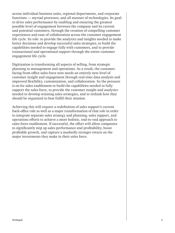across individual business units, regional departments, and corporate functions — myriad processes, and all manner of technologies. Its goal: to drive sales performance by enabling and ensuring the greatest possible level of engagement between the company and its current and potential customers, through the creation of compelling customer experiences and ease of collaboration across the customer engagement life cycle. Its role: to provide the analytics and insights needed to make better decisions and develop successful sales strategies, to build the capabilities needed to engage fully with customers, and to provide transactional and operational support through the entire customer engagement life cycle.

Digitization is transforming all aspects of selling, from strategic planning to management and operations. As a result, the customerfacing front-office sales force now needs an entirely new level of customer insight and engagement through real-time data analysis and improved flexibility, customization, and collaboration. So the pressure is on for sales enablement to build the capabilities needed to fully support the sales force, to provide the customer insight and analytics needed to develop winning sales strategies, and to rethink how they should be organized to best fulfill their mission.

Achieving this will require a redefinition of sales support's current back-office role as well as a major transformation of that role in order to integrate separate sales strategy and planning, sales support, and operations efforts to achieve a more holistic, end-to-end approach to sales force enablement. If successful, the effort will allow companies to significantly step up sales performance and profitability, boost profitable growth, and capture a markedly stronger return on the major investments they make in their sales force.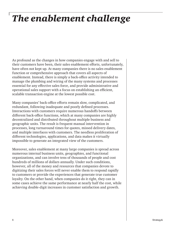### *The enablement challenge*

As profound as the changes in how companies engage with and sell to their customers have been, their sales enablement efforts, unfortunately, have often not kept up. At many companies there is no sales enablement function or comprehensive approach that covers all aspects of enablement. Instead, there is simply a back-office activity intended to manage the plumbing and wiring of the many systems and processes essential for any effective sales force, and provide administrative and operational sales support with a focus on establishing an efficient, scalable transaction engine at the lowest possible cost.

Many companies' back-office efforts remain slow, complicated, and redundant, following inadequate and poorly defined processes. Interactions with customers require numerous handoffs between different back-office functions, which at many companies are highly decentralized and distributed throughout multiple business and geographic units. The result is frequent manual intervention in processes, long turnaround times for quotes, missed delivery dates, and multiple interfaces with customers. The needless proliferation of different technologies, applications, and data makes it virtually impossible to generate an integrated view of the customers.

Moreover, sales enablement at many large companies is spread across numerous internal business units, geographies, and functional organizations, and can involve tens of thousands of people and cost hundreds of millions of dollars annually. Under such conditions, however, all of the money and resources that companies devote to digitizing their sales forces will never enable them to respond rapidly to customers or provide the experiences that generate true customer loyalty. On the other hand, when companies do it right, they can in some cases achieve the same performance at nearly half the cost, while achieving double-digit increases in customer satisfaction and growth.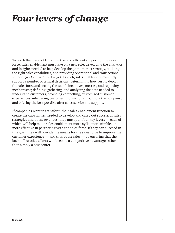### *Four levers of change*

To reach the vision of fully effective and efficient support for the sales force, sales enablement must take on a new role, developing the analytics and insights needed to help develop the go-to-market strategy, building the right sales capabilities, and providing operational and transactional support (*see Exhibit 1, next page*). As such, sales enablement must help support a number of critical decisions: determining how best to deploy the sales force and setting the team's incentives, metrics, and reporting mechanisms; defining, gathering, and analyzing the data needed to understand customers; providing compelling, customized customer experiences; integrating customer information throughout the company; and offering the best possible after-sales service and support.

If companies want to transform their sales enablement function to create the capabilities needed to develop and carry out successful sales strategies and boost revenues, they must pull four key levers — each of which will help make sales enablement more agile, more nimble, and more effective in partnering with the sales force. If they can succeed in this goal, they will provide the means for the sales force to improve the customer experience — and thus boost sales — by ensuring that the back-office sales efforts will become a competitive advantage rather than simply a cost center.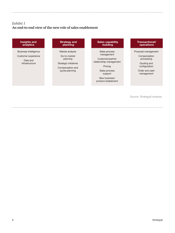### *Exhibit 1* **An end-to-end view of the new role of sales enablement**

### Insights and analytics

Business intelligence Customer experience

> Data and infrastructure

| <b>Strategy and</b> |  |
|---------------------|--|
| planning            |  |

Market analysis Go-to-market

planning

Strategic initiatives

Compensation and quota planning

#### Sales capability building

Sales process management

Customer/partner relationship management

Pricing

Sales process support

New business/ product enablement

#### Transactional/ operations

Proposal management

Compensation processing

Quoting and configuration

Order and cash management

Source: Strategy& analysis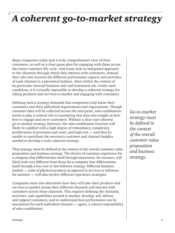### *A coherent go-to-market strategy*

Many companies today lack a truly comprehensive view of their customers, as well as a clear game plan for engaging with them across the entire customer life cycle. And many lack an integrated approach to the channels through which they interact with customers; instead, they take into account the different performance aspects and activities of each channel in a piecemeal fashion, often within the context of its particular internal business unit and functional silo. Under such conditions, it is virtually impossible to develop a coherent strategy for taking products and services to market and engaging with customers.

Defining such a strategy demands that companies truly know their customers and their individual requirements and expectations. Though customer data will be collected across the enterprise, sales enablement needs to play a central role in translating that data into insight on how best to engage and serve customers. Without a clear and coherent go-to-market strategy, however, the sales enablement function will likely be saddled with a high degree of redundancy, complexity, proliferation of processes and tools, and high cost — and thus be unable to contribute the necessary customer and channel insights needed to develop a truly coherent strategy.

That strategy must be defined in the context of the overall customer value proposition and business strategy. The drivers of customer experience for a company that differentiates itself through innovation, for instance, will likely look very different from those for a company that differentiates itself through a low-cost or fast-follower strategy. Different business models — sales of physical products as opposed to services or software, for instance — will also involve different experience strategies.

Companies must also determine how they will take their products and services to market across their different channels and interact with customers across those channels. This requires defining the channels, activities, and capabilities needed to market, develop, sell, deliver, and support customers, and to understand how performance can be maximized for each individual channel — again, a critical responsibility of sales enablement.

*Go-to-market strategy must be defined in the context of the overall customer value proposition and business strategy.*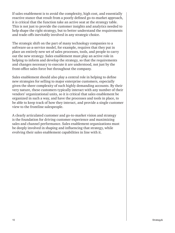If sales enablement is to avoid the complexity, high cost, and essentially reactive stance that result from a poorly defined go-to-market approach, it is critical that the function take an active seat at the strategy table. This is not just to provide the customer insights and analytics needed to help shape the right strategy, but to better understand the requirements and trade-offs inevitably involved in any strategic choice.

The strategic shift on the part of many technology companies to a software-as-a-service model, for example, requires that they put in place an entirely new set of sales processes, tools, and people to carry out the new strategy. Sales enablement must play an active role in helping to inform and develop the strategy, so that the requirements and changes necessary to execute it are understood, not just by the front-office sales force but throughout the company.

Sales enablement should also play a central role in helping to define new strategies for selling to major enterprise customers, especially given the sheer complexity of such highly demanding accounts. By their very nature, these customers typically interact with any number of their vendors' organizational units, so it is critical that sales enablement be organized in such a way, and have the processes and tools in place, to be able to keep track of how they interact, and provide a single customer view to the frontline salespeople.

A clearly articulated customer and go-to-market vision and strategy is the foundation for driving customer experience and maximizing sales and channel performance. Sales enablement organizations must be deeply involved in shaping and influencing that strategy, while evolving their sales enablement capabilities in line with it.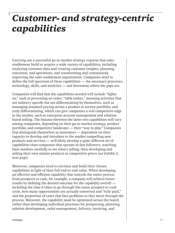### *Customer- and strategy-centric capabilities*

Carrying out a successful go-to-market strategy requires that sales enablement build or acquire a wide variety of capabilities, including analyzing customer data and creating customer insights; planning, execution, and operations; and transforming and continuously improving the sales enablement organization. Companies need to define the full spectrum of these capabilities — the necessary processes, technology, skills, and analytics — and determine where the gaps are.

Companies will find that the capabilities needed will include "lightson," such as processing an order; "table stakes," meaning activities that are industry-specific but not differentiating by themselves, such as managing standard pricing across a product or service portfolio; and truly differentiating, which can give companies a real competitive edge in the market, such as enterprise account management and solutionbased selling. The balance between the latter two capabilities will vary among companies, depending on their go-to-market strategy, product portfolio, and competitive landscape — their "way to play." Companies that distinguish themselves as innovators — dependent on their capacity to develop and introduce to the market compelling new products and services — will likely develop a quite different set of capabilities than companies that operate as fast followers, watching their markets carefully to see what's selling, then developing and selling their own similar products at competitive prices (*see Exhibit 2, next page*).

Moreover, companies need to envision and build their chosen capabilities in light of their full end-to-end value. When developing an effective and efficient capability that controls the entire process from prospects to cash, for example, a company will achieve better results by defining the desired outcome for the capability overall including the time it takes to go through the entire prospect-to-cash cycle, how many opportunities are actually converted and "fully paid," and the proportion of cases that face problems as they move through the process. Moreover, the capability must be optimized across the board, rather than developing individual processes for prospecting, planning, solution development, order management, delivery, invoicing, and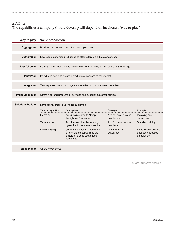### *Exhibit 2* **The capabilities a company should develop will depend on its chosen "way to play"**

| Way to play              | <b>Value proposition</b>                                                         |                                                                                                                   |                                      |                                                            |  |  |  |
|--------------------------|----------------------------------------------------------------------------------|-------------------------------------------------------------------------------------------------------------------|--------------------------------------|------------------------------------------------------------|--|--|--|
| Aggregator               | Provides the convenience of a one-stop solution                                  |                                                                                                                   |                                      |                                                            |  |  |  |
| <b>Customizer</b>        | Leverages customer intelligence to offer tailored products or services           |                                                                                                                   |                                      |                                                            |  |  |  |
| <b>Fast follower</b>     | Leverages foundations laid by first movers to quickly launch competing offerings |                                                                                                                   |                                      |                                                            |  |  |  |
| <b>Innovator</b>         | Introduces new and creative products or services to the market                   |                                                                                                                   |                                      |                                                            |  |  |  |
| Integrator               | Ties separate products or systems together so that they work together            |                                                                                                                   |                                      |                                                            |  |  |  |
| <b>Premium player</b>    | Offers high-end products or services and superior customer service               |                                                                                                                   |                                      |                                                            |  |  |  |
| <b>Solutions builder</b> | Develops tailored solutions for customers                                        |                                                                                                                   |                                      |                                                            |  |  |  |
|                          | Type of capability                                                               | <b>Description</b>                                                                                                | <b>Strategy</b>                      | <b>Example</b>                                             |  |  |  |
|                          | Lights on                                                                        | Activities required to "keep<br>the lights on"/operate                                                            | Aim for best-in-class<br>cost levels | Invoicing and<br>collections                               |  |  |  |
|                          | Table stakes                                                                     | Activities required by industry<br>dynamics to compete in sector                                                  | Aim for best-in-class<br>cost levels | Standard pricing                                           |  |  |  |
|                          | Differentiating                                                                  | Company's chosen three to six<br>differentiating capabilities that<br>enable it to build sustainable<br>advantage | Invest to build<br>advantage         | Value-based pricing/<br>deal desk (focused<br>on solutions |  |  |  |
|                          |                                                                                  |                                                                                                                   |                                      |                                                            |  |  |  |

Value player Offers lower prices

Source: Strategy& analysis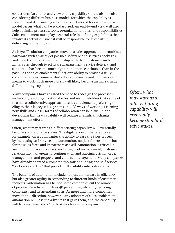collections. An end-to-end view of any capability should also involve considering different business models for which the capability is required and determining what has to be tailored for each business model versus what can be standardized. An end-to-end view will also help optimize processes, tools, organizational roles, and responsibilities. Sales enablement must play a central role in defining capabilities that involve its activities, since it will be responsible for successfully delivering on their goals.

As large IT solution companies move to a sales approach that combines hardware with a variety of possible software and services packages, and even the cloud, their relationship with their customers — from initial sales through to software management, service delivery, and support — has become much tighter and more continuous than in the past. So the sales enablement function's ability to provide a truly collaborative environment that allows customers and companies the means to work much more closely will likely become an increasingly differentiating capability.

Many companies have resisted the need to redesign the processes, technology, and organizational roles and responsibilities that can lead to a more collaborative approach to sales enablement, preferring to cling to their legacy sales systems and old ways of working. Learning new skills and closer forms of collaboration can be difficult, and developing this new capability will require a significant change management effort.

Often, what may start as a differentiating capability will eventually become standard table stakes. The digitization of the sales force, for example, offers companies the ability to ease the sales process by increasing self-service and automation, not just for customers but for the sales force and its partners as well. Automation is critical in any number of key processes, including lead management, customer relationship management, configuration and quoting, pricing, order management, and proposal and contract management. Many companies have already adopted automated "no-touch" quoting and self-service "frictionless orders" that provide full visibility into order status.

The benefits of automation include not just an increase in efficiency but also greater agility in responding to different kinds of customer requests. Automation has helped some companies cut the number of process steps by as much as 40 percent, significantly reducing complexity and its attendant costs. As more and more companies move in this direction, however, early adopters of sales enablement automation will lose the advantage it gave them, and the capability will become "must-have" table stakes for every company.

*Often, what may start as a differentiating capability will eventually become standard table stakes.*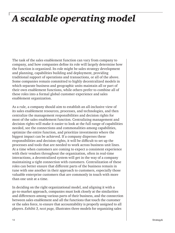### *A scalable operating model*

The task of the sales enablement function can vary from company to company, and how companies define its role will largely determine how the function is organized. Its role might be sales strategy development and planning, capabilities building and deployment, providing traditional support of operations and transactions, or all of the above. Some companies remain committed to highly decentralized models in which separate business and geographic units maintain all or part of their own enablement functions, while others prefer to combine all of these roles into a formal global customer experience and sales enablement organization.

As a rule, a company should aim to establish an all-inclusive view of its sales enablement resources, processes, and technologies, and then centralize the management responsibilities and decision rights for most of the sales enablement function. Centralizing management and decision rights will make it easier to look at the full range of capabilities needed, see the connections and commonalities among capabilities, optimize the entire function, and prioritize investments where the biggest impact can be achieved. If a company disperses these responsibilities and decision rights, it will be difficult to set up the processes and tools that are needed to work across business unit lines. At a time when customers are coming to expect a consistent experience with their vendors throughout the organization, often in real-time interactions, a decentralized system will get in the way of a company maintaining a tight connection with customers. Centralization of these roles can better ensure that different parts of the business remain in tune with one another in their approach to customers, especially those valuable enterprise customers that are commonly in touch with more than one unit at a time.

In deciding on the right organizational model, and aligning it with a go-to-market approach, companies must look closely at the similarities and differences among various parts of their business, and the connection between sales enablement and all the functions that touch the customer or the sales force, to ensure that accountability is properly assigned to all players. *Exhibit 3, next page,* illustrates three models for organizing sales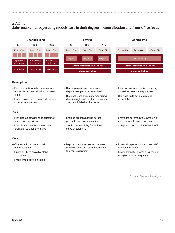### *Exhibit 3* **Sales enablement operating models vary in their degree of centralization and front-office focus**

| <b>Decentralized</b>                                                                  |                                    | <b>Hybrid</b>                                                                 |                                                                    |                                                                        | <b>Centralized</b>                                                                            |                    |                                           |              |  |
|---------------------------------------------------------------------------------------|------------------------------------|-------------------------------------------------------------------------------|--------------------------------------------------------------------|------------------------------------------------------------------------|-----------------------------------------------------------------------------------------------|--------------------|-------------------------------------------|--------------|--|
| BU <sub>1</sub>                                                                       | BU <sub>2</sub>                    | BU <sub>3</sub>                                                               | BU <sub>1</sub>                                                    | BU <sub>2</sub>                                                        | BU <sub>3</sub>                                                                               |                    |                                           |              |  |
| Front office                                                                          | Front office                       | Front office                                                                  | Front office                                                       | Front office                                                           | Front office                                                                                  | Front office       | Front office                              | Front office |  |
|                                                                                       |                                    |                                                                               |                                                                    |                                                                        |                                                                                               |                    |                                           |              |  |
| <b>Capabilities</b><br>development                                                    | <b>Capabilities</b><br>development | <b>Capabilities</b><br>development                                            | Region 1                                                           | Region 2                                                               | Region 3                                                                                      |                    | <b>Global delivery</b>                    |              |  |
|                                                                                       |                                    |                                                                               | Shared capabilities development<br>Shared capabilities development |                                                                        |                                                                                               |                    |                                           |              |  |
| <b>Back office</b>                                                                    | <b>Back office</b>                 | <b>Back office</b>                                                            | Shared back office                                                 |                                                                        |                                                                                               | Shared back office |                                           |              |  |
|                                                                                       |                                    |                                                                               |                                                                    |                                                                        |                                                                                               |                    |                                           |              |  |
| <b>Description</b>                                                                    |                                    |                                                                               |                                                                    |                                                                        |                                                                                               |                    |                                           |              |  |
| - Decision making fully dispersed and<br>embedded within individual business<br>units |                                    | - Decision making and resource                                                |                                                                    |                                                                        | - Fully consolidated decision making                                                          |                    |                                           |              |  |
|                                                                                       |                                    | deployment partially centralized                                              |                                                                    |                                                                        | as well as resource deployment                                                                |                    |                                           |              |  |
| - Each business unit owns and delivers                                                |                                    | - Business units own customer-facing<br>decision rights while other decisions |                                                                    |                                                                        | - Business units set policies and<br>expectations                                             |                    |                                           |              |  |
| on sales enablement                                                                   |                                    | are consolidated at the center                                                |                                                                    |                                                                        |                                                                                               |                    |                                           |              |  |
| <b>Pros</b>                                                                           |                                    |                                                                               |                                                                    |                                                                        |                                                                                               |                    |                                           |              |  |
|                                                                                       |                                    |                                                                               |                                                                    |                                                                        |                                                                                               |                    |                                           |              |  |
| - High degree of tailoring to customer<br>needs and experience                        |                                    | - Enables process scaling across<br>products and business units               |                                                                    | - Enterprise-to-enterprise ownership<br>and alignment across processes |                                                                                               |                    |                                           |              |  |
| - Minimizes execution time on new                                                     |                                    | - Single accountability for regional                                          |                                                                    | - Complete consolidation of back office                                |                                                                                               |                    |                                           |              |  |
|                                                                                       | products, solutions to market      |                                                                               | sales enablement                                                   |                                                                        |                                                                                               |                    |                                           |              |  |
| Cons                                                                                  |                                    |                                                                               |                                                                    |                                                                        |                                                                                               |                    |                                           |              |  |
|                                                                                       | - Challenge in cross-regional      |                                                                               |                                                                    | - Regular interlocks needed between                                    |                                                                                               |                    | - Potential gaps in tailoring "last mile" |              |  |
| standardization                                                                       |                                    | business units and sales enablement<br>to ensure alignment                    |                                                                    |                                                                        | to business needs<br>- Lower flexibility in local business unit<br>or region support requests |                    |                                           |              |  |
| - Limits ability to scale by global<br>processes                                      |                                    |                                                                               |                                                                    |                                                                        |                                                                                               |                    |                                           |              |  |
|                                                                                       | - Fragmented decision rights       |                                                                               |                                                                    |                                                                        |                                                                                               |                    |                                           |              |  |

Source: Strategy& analysis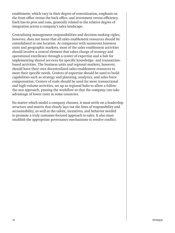enablement, which vary in their degree of centralization, emphasis on the front office versus the back office, and investment versus efficiency. Each has its pros and cons, generally related to the relative degree of integration across a company's sales landscape.

Centralizing management responsibilities and decision-making rights, however, does not mean that all sales enablement resources should be consolidated in one location. At companies with numerous business units and geographic markets, most of the sales enablement activities should involve a central element that takes charge of strategy and operational excellence through a center of expertise and a hub for implementing shared services for specific knowledge- and transactionbased activities. The business units and regional markets, however, should have their own decentralized sales enablement resources to meet their specific needs. Centers of expertise should be used to build capabilities such as strategy and planning, analytics, and sales force compensation. Centers of scale should be used for most transactional and high-volume activities, set up as regional hubs to allow a followthe-sun approach, passing the workflow so that the company can take advantage of lower costs in some countries.

No matter which model a company chooses, it must settle on a leadership structure and matrix that clearly lays out the lines of responsibility and accountability, as well as the talent, incentives, and behavior needed to promote a truly customer-focused approach to sales. It also must establish the appropriate governance mechanisms to resolve conflict.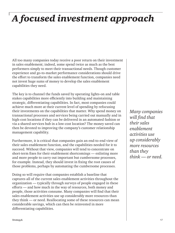## *A focused investment approach*

All too many companies today receive a poor return on their investment in sales enablement; indeed, some spend twice as much as the best performers simply to meet their transactional needs. Though customer experience and go-to-market performance considerations should drive the effort to transform the sales enablement function, companies need not invest huge sums of money to develop the sales enablement capabilities they need.

The key is to channel the funds saved by operating lights-on and table stakes capabilities more efficiently into building and maintaining strategic, differentiating capabilities. In fact, most companies could achieve much more at their current level of spending by refocusing their investments on the capabilities that matter. Why spend money on transactional processes and services being carried out manually and in high-cost locations if they can be delivered in an automated fashion or via a shared-services hub in a low-cost location? The money saved can then be devoted to improving the company's customer relationship management capability.

Furthermore, it is critical that companies gain an end-to-end view of their sales enablement function, and the capabilities needed for it to succeed. Without that view, companies will tend to concentrate on short-term fixes for their enablement shortcomings — enlisting more and more people to carry out important but cumbersome processes, for example. Instead, they should invest in fixing the root causes of those problems, perhaps by automating the cumbersome processes.

Doing so will require that companies establish a baseline that captures all of the current sales enablement activities throughout the organization — typically through surveys of people engaged in these efforts — and how much in the way of resources, both money and people, those activities consume. Many companies will find that their sales enablement activities use up considerably more resources than they think — or need. Reallocating some of these resources can mean considerable savings, which can then be reinvested in more differentiating capabilities.

*Many companies will find that their sales enablement activities use up considerably more resources than they think — or need.*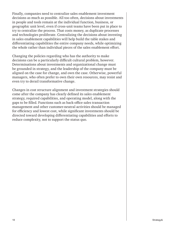Finally, companies need to centralize sales enablement investment decisions as much as possible. All too often, decisions about investments in people and tools remain at the individual function, business, or geographic unit level, even if cross-unit teams have been put in place to try to centralize the process. That costs money, as duplicate processes and technologies proliferate. Centralizing the decisions about investing in sales enablement capabilities will help build the table stakes and differentiating capabilities the entire company needs, while optimizing the whole rather than individual pieces of the sales enablement effort.

Changing the policies regarding who has the authority to make decisions can be a particularly difficult cultural problem, however. Determinations about investments and organizational change must be grounded in strategy, and the leadership of the company must be aligned on the case for change, and own the case. Otherwise, powerful managers, who often prefer to own their own resources, may resist and even try to derail transformative change.

Changes in cost structure alignment and investment strategies should come after the company has clearly defined its sales enablement strategy, required capabilities, and operating model, along with the gaps to be filled. Functions such as back-office sales transaction management and other customer-neutral activities should be managed for efficiency and lowest cost, while significant investments should be directed toward developing differentiating capabilities and efforts to reduce complexity, not to support the status quo.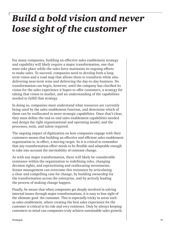### *Build a bold vision and never lose sight of the customer*

For many companies, building an effective sales enablement strategy and capability will likely require a major transformation, one that must take place while the sales force maintains its ongoing efforts to make sales. To succeed, companies need to develop both a longterm vision and a road map that allows them to transform while also delivering near-term wins and delivering the day-to-day business. No transformation can begin, however, until the company has clarified its vision for the sales experience it hopes to offer customers, a strategy for taking that vision to market, and an understanding of the capabilities needed to fulfill that strategy.

In doing so, companies must understand what resources are currently being used by the sales enablement function, and determine which of them can be reallocated to more strategic capabilities. Once that's clear, they must define the end-to-end sales enablement capabilities needed and design the right organizational and operating model, and the processes, tools, and talent required.

The ongoing impact of digitization on how companies engage with their customers means that building an effective and efficient sales enablement organization is, in effect, a moving target. So it is critical to remember that any transformation effort needs to be flexible and adaptable enough to take into account the inevitability of constant change.

As with any major transformation, there will likely be considerable resistance within the organization to redefining roles, changing decision rights, and reprioritizing and reallocating investments. Senior management can overcome this resistance by articulating a clear and compelling case for change, by building ownership for the transformation across the enterprise, and by actively leading the process of making change happen.

Finally, be aware that when companies get deeply involved in solving internal issues through major transformations, it is easy to lose sight of the ultimate goal: the customer. This is especially tricky in areas such as sales enablement, where creating the best sales experience for the customer is critical to its role and very existence. Only by always keeping customers in mind can companies truly achieve sustainable sales growth.